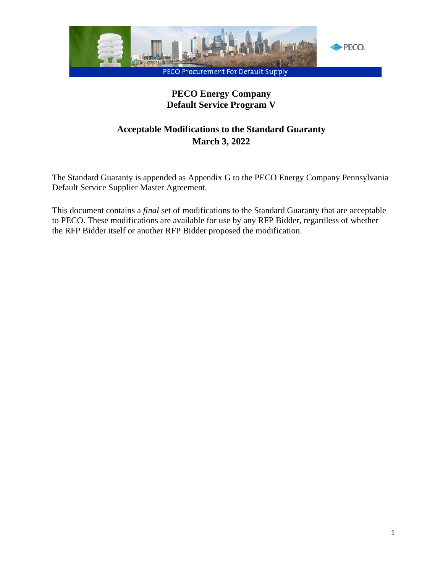

# **PECO Energy Company Default Service Program V**

# **Acceptable Modifications to the Standard Guaranty March 3, 2022**

The Standard Guaranty is appended as Appendix G to the PECO Energy Company Pennsylvania Default Service Supplier Master Agreement.

This document contains a *final* set of modifications to the Standard Guaranty that are acceptable to PECO. These modifications are available for use by any RFP Bidder, regardless of whether the RFP Bidder itself or another RFP Bidder proposed the modification.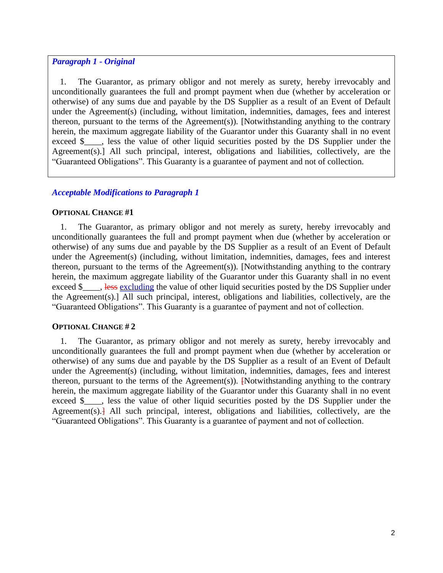### *Paragraph 1 - Original*

1. The Guarantor, as primary obligor and not merely as surety, hereby irrevocably and unconditionally guarantees the full and prompt payment when due (whether by acceleration or otherwise) of any sums due and payable by the DS Supplier as a result of an Event of Default under the Agreement(s) (including, without limitation, indemnities, damages, fees and interest thereon, pursuant to the terms of the Agreement(s)). [Notwithstanding anything to the contrary herein, the maximum aggregate liability of the Guarantor under this Guaranty shall in no event exceed \$\_\_\_, less the value of other liquid securities posted by the DS Supplier under the Agreement(s).] All such principal, interest, obligations and liabilities, collectively, are the "Guaranteed Obligations". This Guaranty is a guarantee of payment and not of collection.

### *Acceptable Modifications to Paragraph 1*

### **OPTIONAL CHANGE #1**

1. The Guarantor, as primary obligor and not merely as surety, hereby irrevocably and unconditionally guarantees the full and prompt payment when due (whether by acceleration or otherwise) of any sums due and payable by the DS Supplier as a result of an Event of Default under the Agreement(s) (including, without limitation, indemnities, damages, fees and interest thereon, pursuant to the terms of the Agreement(s)). [Notwithstanding anything to the contrary herein, the maximum aggregate liability of the Guarantor under this Guaranty shall in no event exceed \$\_\_\_, less excluding the value of other liquid securities posted by the DS Supplier under the Agreement(s).] All such principal, interest, obligations and liabilities, collectively, are the "Guaranteed Obligations". This Guaranty is a guarantee of payment and not of collection.

#### **OPTIONAL CHANGE # 2**

1. The Guarantor, as primary obligor and not merely as surety, hereby irrevocably and unconditionally guarantees the full and prompt payment when due (whether by acceleration or otherwise) of any sums due and payable by the DS Supplier as a result of an Event of Default under the Agreement(s) (including, without limitation, indemnities, damages, fees and interest thereon, pursuant to the terms of the Agreement(s)).  $\frac{1}{2}$  Notwithstanding anything to the contrary herein, the maximum aggregate liability of the Guarantor under this Guaranty shall in no event exceed \$, less the value of other liquid securities posted by the DS Supplier under the Agreement(s). $\frac{1}{2}$  All such principal, interest, obligations and liabilities, collectively, are the "Guaranteed Obligations". This Guaranty is a guarantee of payment and not of collection.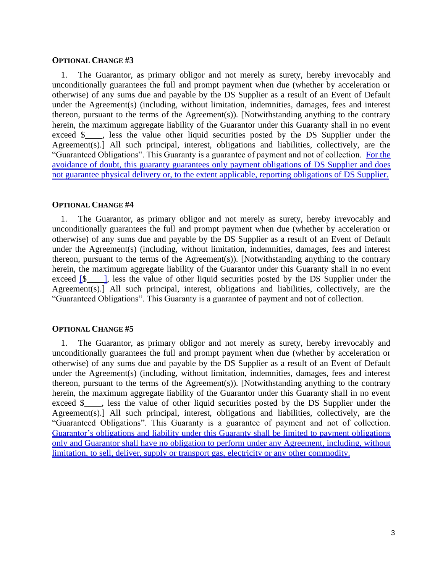#### **OPTIONAL CHANGE #3**

1. The Guarantor, as primary obligor and not merely as surety, hereby irrevocably and unconditionally guarantees the full and prompt payment when due (whether by acceleration or otherwise) of any sums due and payable by the DS Supplier as a result of an Event of Default under the Agreement(s) (including, without limitation, indemnities, damages, fees and interest thereon, pursuant to the terms of the Agreement(s)). [Notwithstanding anything to the contrary herein, the maximum aggregate liability of the Guarantor under this Guaranty shall in no event exceed \$\_\_\_, less the value other liquid securities posted by the DS Supplier under the Agreement(s).] All such principal, interest, obligations and liabilities, collectively, are the "Guaranteed Obligations". This Guaranty is a guarantee of payment and not of collection. For the avoidance of doubt, this guaranty guarantees only payment obligations of DS Supplier and does not guarantee physical delivery or, to the extent applicable, reporting obligations of DS Supplier.

#### **OPTIONAL CHANGE #4**

1. The Guarantor, as primary obligor and not merely as surety, hereby irrevocably and unconditionally guarantees the full and prompt payment when due (whether by acceleration or otherwise) of any sums due and payable by the DS Supplier as a result of an Event of Default under the Agreement(s) (including, without limitation, indemnities, damages, fees and interest thereon, pursuant to the terms of the Agreement(s)). [Notwithstanding anything to the contrary herein, the maximum aggregate liability of the Guarantor under this Guaranty shall in no event exceed  $\lceil 8 \rceil$ , less the value of other liquid securities posted by the DS Supplier under the Agreement(s).] All such principal, interest, obligations and liabilities, collectively, are the "Guaranteed Obligations". This Guaranty is a guarantee of payment and not of collection.

#### **OPTIONAL CHANGE #5**

1. The Guarantor, as primary obligor and not merely as surety, hereby irrevocably and unconditionally guarantees the full and prompt payment when due (whether by acceleration or otherwise) of any sums due and payable by the DS Supplier as a result of an Event of Default under the Agreement(s) (including, without limitation, indemnities, damages, fees and interest thereon, pursuant to the terms of the Agreement(s)). [Notwithstanding anything to the contrary herein, the maximum aggregate liability of the Guarantor under this Guaranty shall in no event exceed \$ cases the value of other liquid securities posted by the DS Supplier under the Agreement(s).] All such principal, interest, obligations and liabilities, collectively, are the "Guaranteed Obligations". This Guaranty is a guarantee of payment and not of collection. Guarantor's obligations and liability under this Guaranty shall be limited to payment obligations only and Guarantor shall have no obligation to perform under any Agreement, including, without limitation, to sell, deliver, supply or transport gas, electricity or any other commodity.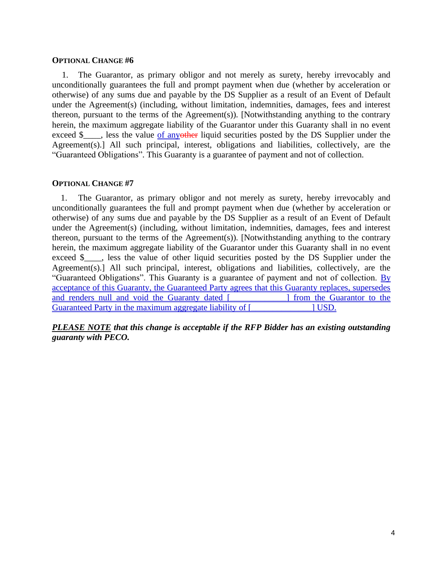#### **OPTIONAL CHANGE #6**

1. The Guarantor, as primary obligor and not merely as surety, hereby irrevocably and unconditionally guarantees the full and prompt payment when due (whether by acceleration or otherwise) of any sums due and payable by the DS Supplier as a result of an Event of Default under the Agreement(s) (including, without limitation, indemnities, damages, fees and interest thereon, pursuant to the terms of the Agreement(s)). [Notwithstanding anything to the contrary herein, the maximum aggregate liability of the Guarantor under this Guaranty shall in no event exceed \$\_\_\_, less the value of anyother liquid securities posted by the DS Supplier under the Agreement(s).] All such principal, interest, obligations and liabilities, collectively, are the "Guaranteed Obligations". This Guaranty is a guarantee of payment and not of collection.

#### **OPTIONAL CHANGE #7**

1. The Guarantor, as primary obligor and not merely as surety, hereby irrevocably and unconditionally guarantees the full and prompt payment when due (whether by acceleration or otherwise) of any sums due and payable by the DS Supplier as a result of an Event of Default under the Agreement(s) (including, without limitation, indemnities, damages, fees and interest thereon, pursuant to the terms of the Agreement(s)). [Notwithstanding anything to the contrary herein, the maximum aggregate liability of the Guarantor under this Guaranty shall in no event exceed \$, less the value of other liquid securities posted by the DS Supplier under the Agreement(s).] All such principal, interest, obligations and liabilities, collectively, are the "Guaranteed Obligations". This Guaranty is a guarantee of payment and not of collection. By acceptance of this Guaranty, the Guaranteed Party agrees that this Guaranty replaces, supersedes and renders null and void the Guaranty dated [2000 m is not be Guarantor to the Guarantor to the state of the Guarantor to the state of the state of the state of the state of the state of the state of the state of the stat Guaranteed Party in the maximum aggregate liability of [  $\qquad$  [ USD.

*PLEASE NOTE that this change is acceptable if the RFP Bidder has an existing outstanding guaranty with PECO.*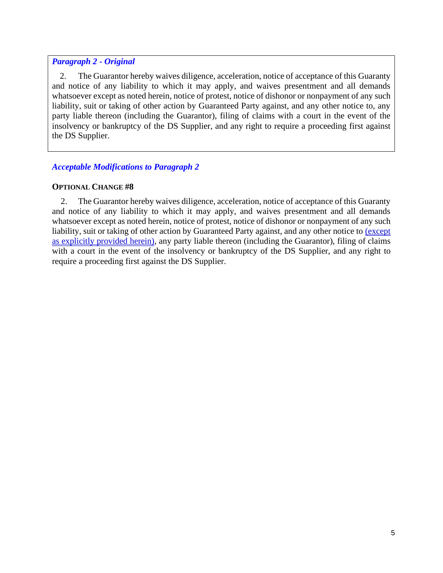### *Paragraph 2 - Original*

2. The Guarantor hereby waives diligence, acceleration, notice of acceptance of this Guaranty and notice of any liability to which it may apply, and waives presentment and all demands whatsoever except as noted herein, notice of protest, notice of dishonor or nonpayment of any such liability, suit or taking of other action by Guaranteed Party against, and any other notice to, any party liable thereon (including the Guarantor), filing of claims with a court in the event of the insolvency or bankruptcy of the DS Supplier, and any right to require a proceeding first against the DS Supplier.

# *Acceptable Modifications to Paragraph 2*

### **OPTIONAL CHANGE #8**

2. The Guarantor hereby waives diligence, acceleration, notice of acceptance of this Guaranty and notice of any liability to which it may apply, and waives presentment and all demands whatsoever except as noted herein, notice of protest, notice of dishonor or nonpayment of any such liability, suit or taking of other action by Guaranteed Party against, and any other notice to (except as explicitly provided herein), any party liable thereon (including the Guarantor), filing of claims with a court in the event of the insolvency or bankruptcy of the DS Supplier, and any right to require a proceeding first against the DS Supplier.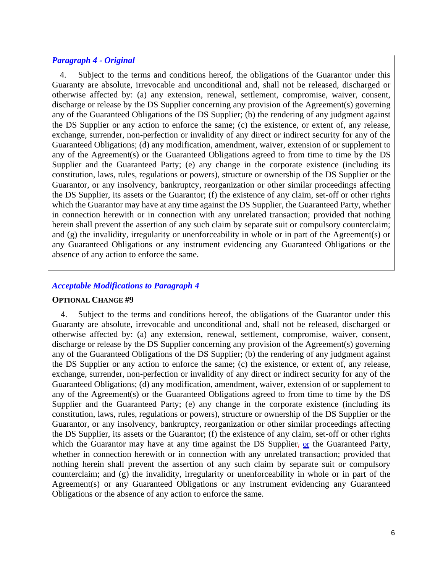#### *Paragraph 4 - Original*

4. Subject to the terms and conditions hereof, the obligations of the Guarantor under this Guaranty are absolute, irrevocable and unconditional and, shall not be released, discharged or otherwise affected by: (a) any extension, renewal, settlement, compromise, waiver, consent, discharge or release by the DS Supplier concerning any provision of the Agreement(s) governing any of the Guaranteed Obligations of the DS Supplier; (b) the rendering of any judgment against the DS Supplier or any action to enforce the same; (c) the existence, or extent of, any release, exchange, surrender, non-perfection or invalidity of any direct or indirect security for any of the Guaranteed Obligations; (d) any modification, amendment, waiver, extension of or supplement to any of the Agreement(s) or the Guaranteed Obligations agreed to from time to time by the DS Supplier and the Guaranteed Party; (e) any change in the corporate existence (including its constitution, laws, rules, regulations or powers), structure or ownership of the DS Supplier or the Guarantor, or any insolvency, bankruptcy, reorganization or other similar proceedings affecting the DS Supplier, its assets or the Guarantor; (f) the existence of any claim, set-off or other rights which the Guarantor may have at any time against the DS Supplier, the Guaranteed Party, whether in connection herewith or in connection with any unrelated transaction; provided that nothing herein shall prevent the assertion of any such claim by separate suit or compulsory counterclaim; and (g) the invalidity, irregularity or unenforceability in whole or in part of the Agreement(s) or any Guaranteed Obligations or any instrument evidencing any Guaranteed Obligations or the absence of any action to enforce the same.

#### *Acceptable Modifications to Paragraph 4*

#### **OPTIONAL CHANGE #9**

4. Subject to the terms and conditions hereof, the obligations of the Guarantor under this Guaranty are absolute, irrevocable and unconditional and, shall not be released, discharged or otherwise affected by: (a) any extension, renewal, settlement, compromise, waiver, consent, discharge or release by the DS Supplier concerning any provision of the Agreement(s) governing any of the Guaranteed Obligations of the DS Supplier; (b) the rendering of any judgment against the DS Supplier or any action to enforce the same; (c) the existence, or extent of, any release, exchange, surrender, non-perfection or invalidity of any direct or indirect security for any of the Guaranteed Obligations; (d) any modification, amendment, waiver, extension of or supplement to any of the Agreement(s) or the Guaranteed Obligations agreed to from time to time by the DS Supplier and the Guaranteed Party; (e) any change in the corporate existence (including its constitution, laws, rules, regulations or powers), structure or ownership of the DS Supplier or the Guarantor, or any insolvency, bankruptcy, reorganization or other similar proceedings affecting the DS Supplier, its assets or the Guarantor; (f) the existence of any claim, set-off or other rights which the Guarantor may have at any time against the DS Supplier, or the Guaranteed Party, whether in connection herewith or in connection with any unrelated transaction; provided that nothing herein shall prevent the assertion of any such claim by separate suit or compulsory counterclaim; and (g) the invalidity, irregularity or unenforceability in whole or in part of the Agreement(s) or any Guaranteed Obligations or any instrument evidencing any Guaranteed Obligations or the absence of any action to enforce the same.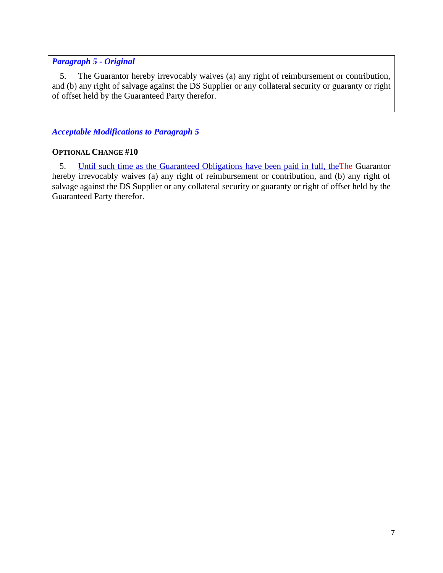### *Paragraph 5 - Original*

5. The Guarantor hereby irrevocably waives (a) any right of reimbursement or contribution, and (b) any right of salvage against the DS Supplier or any collateral security or guaranty or right of offset held by the Guaranteed Party therefor.

### *Acceptable Modifications to Paragraph 5*

### **OPTIONAL CHANGE #10**

5. **Until such time as the Guaranteed Obligations have been paid in full, the The Guarantor** hereby irrevocably waives (a) any right of reimbursement or contribution, and (b) any right of salvage against the DS Supplier or any collateral security or guaranty or right of offset held by the Guaranteed Party therefor.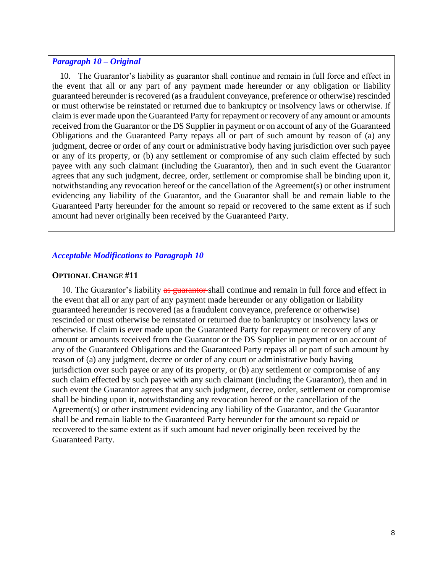#### *Paragraph 10 – Original*

10. The Guarantor's liability as guarantor shall continue and remain in full force and effect in the event that all or any part of any payment made hereunder or any obligation or liability guaranteed hereunder is recovered (as a fraudulent conveyance, preference or otherwise) rescinded or must otherwise be reinstated or returned due to bankruptcy or insolvency laws or otherwise. If claim is ever made upon the Guaranteed Party for repayment or recovery of any amount or amounts received from the Guarantor or the DS Supplier in payment or on account of any of the Guaranteed Obligations and the Guaranteed Party repays all or part of such amount by reason of (a) any judgment, decree or order of any court or administrative body having jurisdiction over such payee or any of its property, or (b) any settlement or compromise of any such claim effected by such payee with any such claimant (including the Guarantor), then and in such event the Guarantor agrees that any such judgment, decree, order, settlement or compromise shall be binding upon it, notwithstanding any revocation hereof or the cancellation of the Agreement(s) or other instrument evidencing any liability of the Guarantor, and the Guarantor shall be and remain liable to the Guaranteed Party hereunder for the amount so repaid or recovered to the same extent as if such amount had never originally been received by the Guaranteed Party.

#### *Acceptable Modifications to Paragraph 10*

#### **OPTIONAL CHANGE #11**

10. The Guarantor's liability as guarantor shall continue and remain in full force and effect in the event that all or any part of any payment made hereunder or any obligation or liability guaranteed hereunder is recovered (as a fraudulent conveyance, preference or otherwise) rescinded or must otherwise be reinstated or returned due to bankruptcy or insolvency laws or otherwise. If claim is ever made upon the Guaranteed Party for repayment or recovery of any amount or amounts received from the Guarantor or the DS Supplier in payment or on account of any of the Guaranteed Obligations and the Guaranteed Party repays all or part of such amount by reason of (a) any judgment, decree or order of any court or administrative body having jurisdiction over such payee or any of its property, or (b) any settlement or compromise of any such claim effected by such payee with any such claimant (including the Guarantor), then and in such event the Guarantor agrees that any such judgment, decree, order, settlement or compromise shall be binding upon it, notwithstanding any revocation hereof or the cancellation of the Agreement(s) or other instrument evidencing any liability of the Guarantor, and the Guarantor shall be and remain liable to the Guaranteed Party hereunder for the amount so repaid or recovered to the same extent as if such amount had never originally been received by the Guaranteed Party.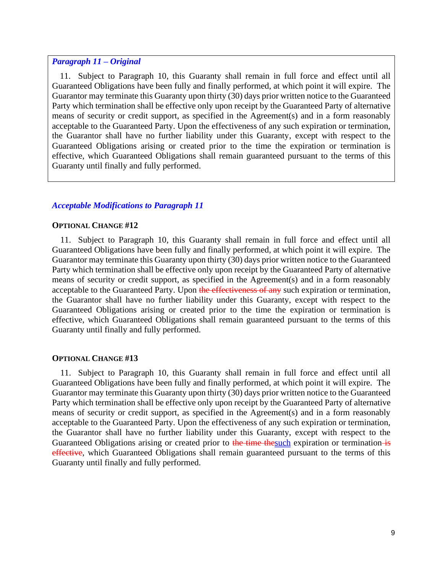#### *Paragraph 11 – Original*

11. Subject to Paragraph 10, this Guaranty shall remain in full force and effect until all Guaranteed Obligations have been fully and finally performed, at which point it will expire. The Guarantor may terminate this Guaranty upon thirty (30) days prior written notice to the Guaranteed Party which termination shall be effective only upon receipt by the Guaranteed Party of alternative means of security or credit support, as specified in the Agreement(s) and in a form reasonably acceptable to the Guaranteed Party. Upon the effectiveness of any such expiration or termination, the Guarantor shall have no further liability under this Guaranty, except with respect to the Guaranteed Obligations arising or created prior to the time the expiration or termination is effective, which Guaranteed Obligations shall remain guaranteed pursuant to the terms of this Guaranty until finally and fully performed.

#### *Acceptable Modifications to Paragraph 11*

#### **OPTIONAL CHANGE #12**

11. Subject to Paragraph 10, this Guaranty shall remain in full force and effect until all Guaranteed Obligations have been fully and finally performed, at which point it will expire. The Guarantor may terminate this Guaranty upon thirty (30) days prior written notice to the Guaranteed Party which termination shall be effective only upon receipt by the Guaranteed Party of alternative means of security or credit support, as specified in the Agreement(s) and in a form reasonably acceptable to the Guaranteed Party. Upon the effectiveness of any such expiration or termination, the Guarantor shall have no further liability under this Guaranty, except with respect to the Guaranteed Obligations arising or created prior to the time the expiration or termination is effective, which Guaranteed Obligations shall remain guaranteed pursuant to the terms of this Guaranty until finally and fully performed.

#### **OPTIONAL CHANGE #13**

11. Subject to Paragraph 10, this Guaranty shall remain in full force and effect until all Guaranteed Obligations have been fully and finally performed, at which point it will expire. The Guarantor may terminate this Guaranty upon thirty (30) days prior written notice to the Guaranteed Party which termination shall be effective only upon receipt by the Guaranteed Party of alternative means of security or credit support, as specified in the Agreement(s) and in a form reasonably acceptable to the Guaranteed Party. Upon the effectiveness of any such expiration or termination, the Guarantor shall have no further liability under this Guaranty, except with respect to the Guaranteed Obligations arising or created prior to the time thesuch expiration or termination is effective, which Guaranteed Obligations shall remain guaranteed pursuant to the terms of this Guaranty until finally and fully performed.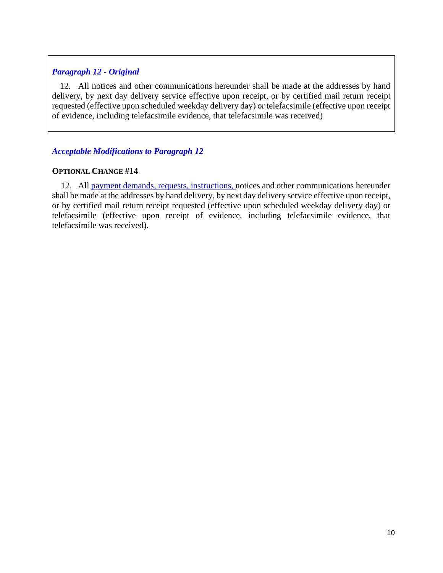# *Paragraph 12 - Original*

12. All notices and other communications hereunder shall be made at the addresses by hand delivery, by next day delivery service effective upon receipt, or by certified mail return receipt requested (effective upon scheduled weekday delivery day) or telefacsimile (effective upon receipt of evidence, including telefacsimile evidence, that telefacsimile was received)

# *Acceptable Modifications to Paragraph 12*

### **OPTIONAL CHANGE #14**

12. All payment demands, requests, instructions, notices and other communications hereunder shall be made at the addresses by hand delivery, by next day delivery service effective upon receipt, or by certified mail return receipt requested (effective upon scheduled weekday delivery day) or telefacsimile (effective upon receipt of evidence, including telefacsimile evidence, that telefacsimile was received).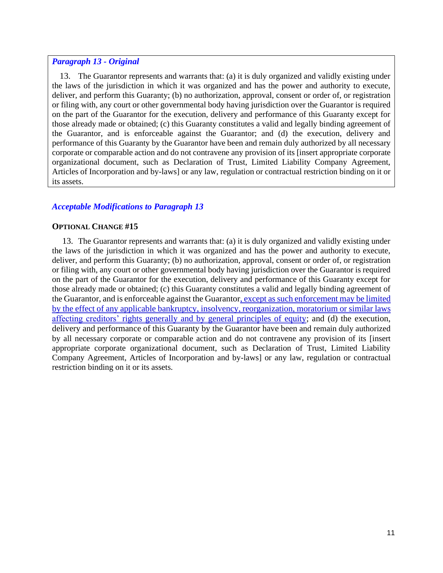#### *Paragraph 13 - Original*

13. The Guarantor represents and warrants that: (a) it is duly organized and validly existing under the laws of the jurisdiction in which it was organized and has the power and authority to execute, deliver, and perform this Guaranty; (b) no authorization, approval, consent or order of, or registration or filing with, any court or other governmental body having jurisdiction over the Guarantor is required on the part of the Guarantor for the execution, delivery and performance of this Guaranty except for those already made or obtained; (c) this Guaranty constitutes a valid and legally binding agreement of the Guarantor, and is enforceable against the Guarantor; and (d) the execution, delivery and performance of this Guaranty by the Guarantor have been and remain duly authorized by all necessary corporate or comparable action and do not contravene any provision of its [insert appropriate corporate organizational document, such as Declaration of Trust, Limited Liability Company Agreement, Articles of Incorporation and by-laws] or any law, regulation or contractual restriction binding on it or its assets.

### *Acceptable Modifications to Paragraph 13*

### **OPTIONAL CHANGE #15**

13. The Guarantor represents and warrants that: (a) it is duly organized and validly existing under the laws of the jurisdiction in which it was organized and has the power and authority to execute, deliver, and perform this Guaranty; (b) no authorization, approval, consent or order of, or registration or filing with, any court or other governmental body having jurisdiction over the Guarantor is required on the part of the Guarantor for the execution, delivery and performance of this Guaranty except for those already made or obtained; (c) this Guaranty constitutes a valid and legally binding agreement of the Guarantor, and is enforceable against the Guarantor, except as such enforcement may be limited by the effect of any applicable bankruptcy, insolvency, reorganization, moratorium or similar laws affecting creditors' rights generally and by general principles of equity; and (d) the execution, delivery and performance of this Guaranty by the Guarantor have been and remain duly authorized by all necessary corporate or comparable action and do not contravene any provision of its [insert appropriate corporate organizational document, such as Declaration of Trust, Limited Liability Company Agreement, Articles of Incorporation and by-laws] or any law, regulation or contractual restriction binding on it or its assets.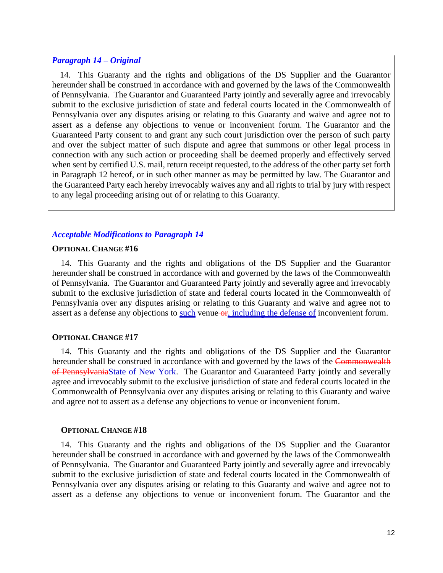#### *Paragraph 14 – Original*

14. This Guaranty and the rights and obligations of the DS Supplier and the Guarantor hereunder shall be construed in accordance with and governed by the laws of the Commonwealth of Pennsylvania. The Guarantor and Guaranteed Party jointly and severally agree and irrevocably submit to the exclusive jurisdiction of state and federal courts located in the Commonwealth of Pennsylvania over any disputes arising or relating to this Guaranty and waive and agree not to assert as a defense any objections to venue or inconvenient forum. The Guarantor and the Guaranteed Party consent to and grant any such court jurisdiction over the person of such party and over the subject matter of such dispute and agree that summons or other legal process in connection with any such action or proceeding shall be deemed properly and effectively served when sent by certified U.S. mail, return receipt requested, to the address of the other party set forth in Paragraph 12 hereof, or in such other manner as may be permitted by law. The Guarantor and the Guaranteed Party each hereby irrevocably waives any and all rights to trial by jury with respect to any legal proceeding arising out of or relating to this Guaranty.

#### *Acceptable Modifications to Paragraph 14*

#### **OPTIONAL CHANGE #16**

14. This Guaranty and the rights and obligations of the DS Supplier and the Guarantor hereunder shall be construed in accordance with and governed by the laws of the Commonwealth of Pennsylvania. The Guarantor and Guaranteed Party jointly and severally agree and irrevocably submit to the exclusive jurisdiction of state and federal courts located in the Commonwealth of Pennsylvania over any disputes arising or relating to this Guaranty and waive and agree not to assert as a defense any objections to such venue-or, including the defense of inconvenient forum.

#### **OPTIONAL CHANGE #17**

14. This Guaranty and the rights and obligations of the DS Supplier and the Guarantor hereunder shall be construed in accordance with and governed by the laws of the Commonwealth of PennsylvaniaState of New York. The Guarantor and Guaranteed Party jointly and severally agree and irrevocably submit to the exclusive jurisdiction of state and federal courts located in the Commonwealth of Pennsylvania over any disputes arising or relating to this Guaranty and waive and agree not to assert as a defense any objections to venue or inconvenient forum.

#### **OPTIONAL CHANGE #18**

14. This Guaranty and the rights and obligations of the DS Supplier and the Guarantor hereunder shall be construed in accordance with and governed by the laws of the Commonwealth of Pennsylvania. The Guarantor and Guaranteed Party jointly and severally agree and irrevocably submit to the exclusive jurisdiction of state and federal courts located in the Commonwealth of Pennsylvania over any disputes arising or relating to this Guaranty and waive and agree not to assert as a defense any objections to venue or inconvenient forum. The Guarantor and the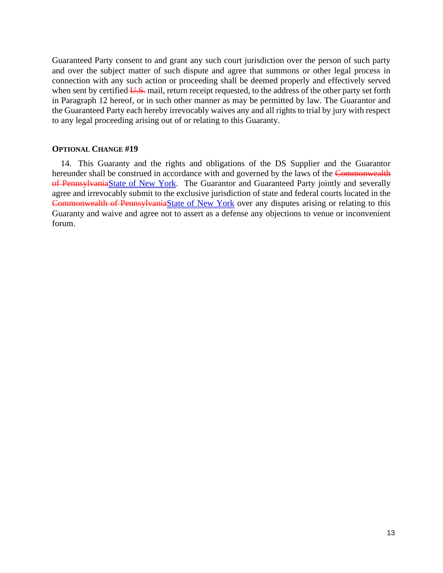Guaranteed Party consent to and grant any such court jurisdiction over the person of such party and over the subject matter of such dispute and agree that summons or other legal process in connection with any such action or proceeding shall be deemed properly and effectively served when sent by certified  $U.S.$  mail, return receipt requested, to the address of the other party set forth in Paragraph 12 hereof, or in such other manner as may be permitted by law. The Guarantor and the Guaranteed Party each hereby irrevocably waives any and all rights to trial by jury with respect to any legal proceeding arising out of or relating to this Guaranty.

#### **OPTIONAL CHANGE #19**

14. This Guaranty and the rights and obligations of the DS Supplier and the Guarantor hereunder shall be construed in accordance with and governed by the laws of the Commonwealth of PennsylvaniaState of New York. The Guarantor and Guaranteed Party jointly and severally agree and irrevocably submit to the exclusive jurisdiction of state and federal courts located in the Commonwealth of PennsylvaniaState of New York over any disputes arising or relating to this Guaranty and waive and agree not to assert as a defense any objections to venue or inconvenient forum.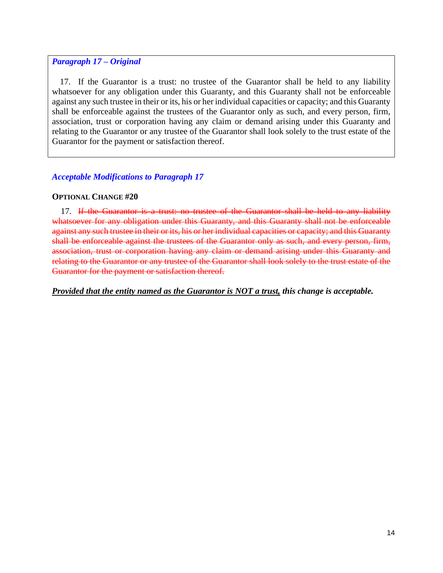### *Paragraph 17 – Original*

17. If the Guarantor is a trust: no trustee of the Guarantor shall be held to any liability whatsoever for any obligation under this Guaranty, and this Guaranty shall not be enforceable against any such trustee in their or its, his or her individual capacities or capacity; and this Guaranty shall be enforceable against the trustees of the Guarantor only as such, and every person, firm, association, trust or corporation having any claim or demand arising under this Guaranty and relating to the Guarantor or any trustee of the Guarantor shall look solely to the trust estate of the Guarantor for the payment or satisfaction thereof.

### *Acceptable Modifications to Paragraph 17*

#### **OPTIONAL CHANGE #20**

17. If the Guarantor is a trust: no trustee of the Guarantor shall be held to any liability whatsoever for any obligation under this Guaranty, and this Guaranty shall not be enforceable against any such trustee in their or its, his or her individual capacities or capacity; and this Guaranty shall be enforceable against the trustees of the Guarantor only as such, and every person, firm, association, trust or corporation having any claim or demand arising under this Guaranty and relating to the Guarantor or any trustee of the Guarantor shall look solely to the trust estate of the Guarantor for the payment or satisfaction thereof.

*Provided that the entity named as the Guarantor is NOT a trust, this change is acceptable.*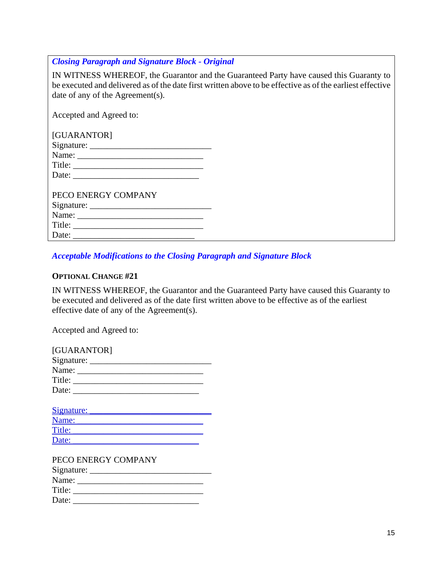*Closing Paragraph and Signature Block - Original*

IN WITNESS WHEREOF, the Guarantor and the Guaranteed Party have caused this Guaranty to be executed and delivered as of the date first written above to be effective as of the earliest effective date of any of the Agreement(s).

Accepted and Agreed to:

| [GUARANTOR]           |
|-----------------------|
|                       |
|                       |
|                       |
| Date:                 |
|                       |
| PECO ENERGY COMPANY   |
|                       |
|                       |
|                       |
| Date: $\qquad \qquad$ |

### *Acceptable Modifications to the Closing Paragraph and Signature Block*

### **OPTIONAL CHANGE #21**

IN WITNESS WHEREOF, the Guarantor and the Guaranteed Party have caused this Guaranty to be executed and delivered as of the date first written above to be effective as of the earliest effective date of any of the Agreement(s).

Accepted and Agreed to:

| [GUARANTOR] |
|-------------|
|             |
|             |
| Title:      |
| Date:       |
|             |

| Signature: |  |
|------------|--|
| Name:      |  |
| Title:     |  |
| Date:      |  |

| PECO ENERGY COMPANY |
|---------------------|
| $Sigma =$           |
| Name:               |
| Title:              |
| Date:               |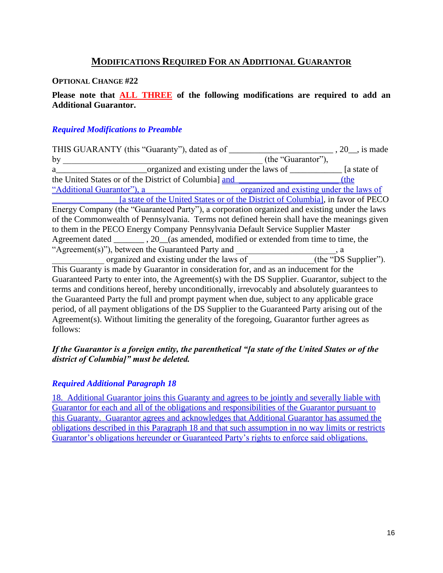# **MODIFICATIONS REQUIRED FOR AN ADDITIONAL GUARANTOR**

#### **OPTIONAL CHANGE #22**

### **Please note that ALL THREE of the following modifications are required to add an Additional Guarantor.**

#### *Required Modifications to Preamble*

THIS GUARANTY (this "Guaranty"), dated as of \_\_\_\_\_\_\_\_\_\_\_\_\_\_\_\_\_\_\_\_\_\_\_\_\_\_\_\_\_\_, 20\_\_, is made by  $\qquad \qquad$  (the "Guarantor"), a\_\_\_\_\_\_\_\_\_\_\_\_\_\_\_\_\_\_\_\_\_organized and existing under the laws of \_\_\_\_\_\_\_\_\_\_\_\_ [a state of the United States or of the District of Columbia] and  $($ the "Additional Guarantor"), a \_\_\_\_\_\_\_\_\_\_\_\_\_\_\_\_\_\_\_\_\_ organized and existing under the laws of [a state of the United States or of the District of Columbia], in favor of PECO Energy Company (the "Guaranteed Party"), a corporation organized and existing under the laws of the Commonwealth of Pennsylvania. Terms not defined herein shall have the meanings given to them in the PECO Energy Company Pennsylvania Default Service Supplier Master Agreement dated . 20 (as amended, modified or extended from time to time, the "Agreement(s)"), between the Guaranteed Party and \_\_\_\_\_\_\_\_\_\_\_\_\_\_\_\_\_\_\_\_\_\_\_, a organized and existing under the laws of \_\_\_\_\_\_\_\_\_\_\_\_(the "DS Supplier"). This Guaranty is made by Guarantor in consideration for, and as an inducement for the Guaranteed Party to enter into, the Agreement(s) with the DS Supplier. Guarantor, subject to the terms and conditions hereof, hereby unconditionally, irrevocably and absolutely guarantees to the Guaranteed Party the full and prompt payment when due, subject to any applicable grace period, of all payment obligations of the DS Supplier to the Guaranteed Party arising out of the Agreement(s). Without limiting the generality of the foregoing, Guarantor further agrees as follows:

### *If the Guarantor is a foreign entity, the parenthetical "[a state of the United States or of the district of Columbia]" must be deleted.*

#### *Required Additional Paragraph 18*

18. Additional Guarantor joins this Guaranty and agrees to be jointly and severally liable with Guarantor for each and all of the obligations and responsibilities of the Guarantor pursuant to this Guaranty. Guarantor agrees and acknowledges that Additional Guarantor has assumed the obligations described in this Paragraph 18 and that such assumption in no way limits or restricts Guarantor's obligations hereunder or Guaranteed Party's rights to enforce said obligations.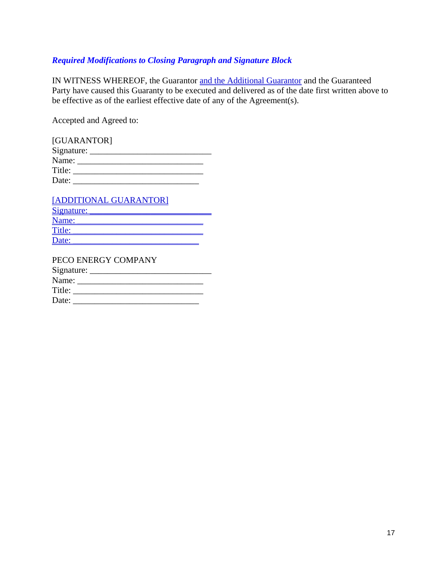# *Required Modifications to Closing Paragraph and Signature Block*

IN WITNESS WHEREOF, the Guarantor and the Additional Guarantor and the Guaranteed Party have caused this Guaranty to be executed and delivered as of the date first written above to be effective as of the earliest effective date of any of the Agreement(s).

Accepted and Agreed to:

| [GUARANTOR] |  |
|-------------|--|
|             |  |
| Name:       |  |
| Title:      |  |
| Date:       |  |

| [ADDITIONAL GUARANTOR] |
|------------------------|
| Signature:             |
| Name:                  |
| Title:                 |
| Date:                  |
|                        |

| PECO ENERGY COMPANY |  |
|---------------------|--|
|                     |  |
|                     |  |
| Title:              |  |
| Date:               |  |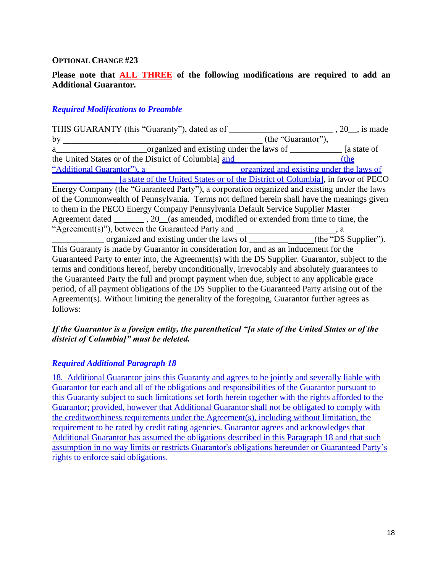#### **OPTIONAL CHANGE #23**

### **Please note that ALL THREE of the following modifications are required to add an Additional Guarantor.**

#### *Required Modifications to Preamble*

THIS GUARANTY (this "Guaranty"), dated as of \_\_\_\_\_\_\_\_\_\_\_\_\_\_\_\_\_\_\_\_\_\_\_\_\_\_\_\_\_\_, 20\_\_, is made by  $\qquad \qquad$  (the "Guarantor"), a\_\_\_\_\_\_\_\_\_\_\_\_\_\_\_\_\_\_\_\_\_\_\_\_\_\_\_\_organized and existing under the laws of \_\_\_\_\_\_\_\_\_\_\_\_\_\_\_\_\_ [a state of the United States or of the District of Columbia] and  $(the$ "Additional Guarantor"), a \_\_\_\_\_\_\_\_\_\_\_\_\_\_\_\_\_\_\_\_\_ organized and existing under the laws of \_\_\_\_\_\_\_\_\_\_\_\_\_\_\_ [a state of the United States or of the District of Columbia], in favor of PECO Energy Company (the "Guaranteed Party"), a corporation organized and existing under the laws of the Commonwealth of Pennsylvania. Terms not defined herein shall have the meanings given to them in the PECO Energy Company Pennsylvania Default Service Supplier Master Agreement dated \_\_\_\_\_\_\_ , 20\_\_(as amended, modified or extended from time to time, the "Agreement(s)"), between the Guaranteed Party and \_\_\_\_\_\_\_\_\_\_\_\_\_\_\_\_\_\_\_\_\_\_\_, a  $\overline{\text{organized}}$  and existing under the laws of  $\overline{\text{the "DS} }$  Supplier"). This Guaranty is made by Guarantor in consideration for, and as an inducement for the Guaranteed Party to enter into, the Agreement(s) with the DS Supplier. Guarantor, subject to the terms and conditions hereof, hereby unconditionally, irrevocably and absolutely guarantees to the Guaranteed Party the full and prompt payment when due, subject to any applicable grace period, of all payment obligations of the DS Supplier to the Guaranteed Party arising out of the Agreement(s). Without limiting the generality of the foregoing, Guarantor further agrees as follows:

### *If the Guarantor is a foreign entity, the parenthetical "[a state of the United States or of the district of Columbia]" must be deleted.*

#### *Required Additional Paragraph 18*

18. Additional Guarantor joins this Guaranty and agrees to be jointly and severally liable with Guarantor for each and all of the obligations and responsibilities of the Guarantor pursuant to this Guaranty subject to such limitations set forth herein together with the rights afforded to the Guarantor; provided, however that Additional Guarantor shall not be obligated to comply with the creditworthiness requirements under the Agreement(s), including without limitation, the requirement to be rated by credit rating agencies. Guarantor agrees and acknowledges that Additional Guarantor has assumed the obligations described in this Paragraph 18 and that such assumption in no way limits or restricts Guarantor's obligations hereunder or Guaranteed Party's rights to enforce said obligations.